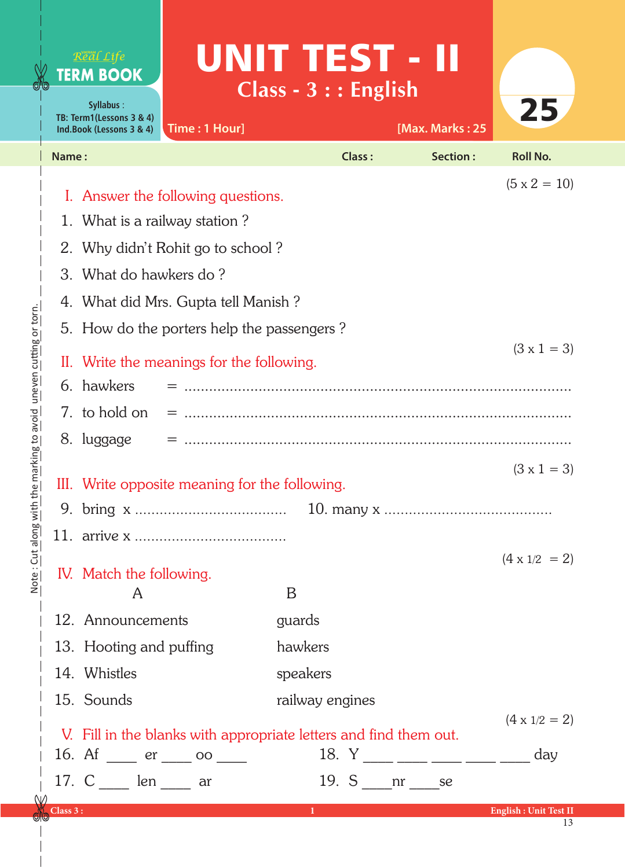| <b>GAQ</b>                         | Real Life<br><b>TERM BOOK</b><br>Syllabus:<br>TB: Term1(Lessons 3 & 4)<br>Time: 1 Hour]<br>Ind.Book (Lessons 3 & 4)                                                                              | UNIT TEST - II<br>$Class - 3 :: English$ | 25<br>[Max. Marks: 25                                           |  |
|------------------------------------|--------------------------------------------------------------------------------------------------------------------------------------------------------------------------------------------------|------------------------------------------|-----------------------------------------------------------------|--|
|                                    | Name:                                                                                                                                                                                            | <b>Class:</b>                            | Section:<br><b>Roll No.</b>                                     |  |
|                                    | $(5 \times 2 = 10)$<br>I. Answer the following questions.<br>1. What is a railway station?<br>2. Why didn't Rohit go to school?<br>3. What do hawkers do?<br>4. What did Mrs. Gupta tell Manish? |                                          |                                                                 |  |
| e marking to aven une or torn en e | 5. How do the porters help the passengers?<br>II. Write the meanings for the following.<br>6. hawkers                                                                                            |                                          | $(3 \times 1 = 3)$                                              |  |
|                                    | 7. to hold on<br>8. luggage                                                                                                                                                                      |                                          | $(3 \times 1 = 3)$                                              |  |
|                                    | III. Write opposite meaning for the following.                                                                                                                                                   |                                          |                                                                 |  |
| unw 8uole : 111 Suou               | IV. Match the following.<br>A                                                                                                                                                                    | B                                        | $(4 \times 1/2 = 2)$                                            |  |
|                                    | 12. Announcements                                                                                                                                                                                | guards                                   |                                                                 |  |
|                                    | 13. Hooting and puffing                                                                                                                                                                          | hawkers                                  |                                                                 |  |
|                                    | 14. Whistles                                                                                                                                                                                     | speakers                                 |                                                                 |  |
|                                    | 15. Sounds<br>V. Fill in the blanks with appropriate letters and find them out.<br>16. Af $\frac{\ }{2}$ er $\frac{\ }{2}$ oo $\frac{\ }{2}$<br>17. $C$ len _____ ar                             | railway engines<br>19. $S$ nr se         | $(4 \times 1/2 = 2)$<br>18. $Y$ _____ ____ ____ _____ _____ day |  |
| $\omega$                           | Class 3:                                                                                                                                                                                         | $1 - 1$                                  | <b>English: Unit Test II</b>                                    |  |